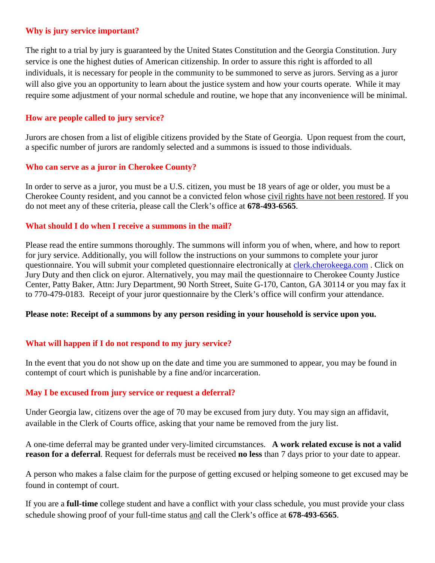### **Why is jury service important?**

The right to a trial by jury is guaranteed by the United States Constitution and the Georgia Constitution. Jury service is one the highest duties of American citizenship. In order to assure this right is afforded to all individuals, it is necessary for people in the community to be summoned to serve as jurors. Serving as a juror will also give you an opportunity to learn about the justice system and how your courts operate. While it may require some adjustment of your normal schedule and routine, we hope that any inconvenience will be minimal.

### **How are people called to jury service?**

Jurors are chosen from a list of eligible citizens provided by the State of Georgia. Upon request from the court, a specific number of jurors are randomly selected and a summons is issued to those individuals.

### **Who can serve as a juror in Cherokee County?**

In order to serve as a juror, you must be a U.S. citizen, you must be 18 years of age or older, you must be a Cherokee County resident, and you cannot be a convicted felon whose civil rights have not been restored. If you do not meet any of these criteria, please call the Clerk's office at **678-493-6565**.

#### **What should I do when I receive a summons in the mail?**

Please read the entire summons thoroughly. The summons will inform you of when, where, and how to report for jury service. Additionally, you will follow the instructions on your summons to complete your juror questionnaire. You will submit your completed questionnaire electronically at [clerk.cherokeega.com](http://www.clerk.cherokeega.com/) . Click on Jury Duty and then click on ejuror. Alternatively, you may mail the questionnaire to Cherokee County Justice Center, Patty Baker, Attn: Jury Department, 90 North Street, Suite G-170, Canton, GA 30114 or you may fax it to 770-479-0183. Receipt of your juror questionnaire by the Clerk's office will confirm your attendance.

### **Please note: Receipt of a summons by any person residing in your household is service upon you.**

### **What will happen if I do not respond to my jury service?**

In the event that you do not show up on the date and time you are summoned to appear, you may be found in contempt of court which is punishable by a fine and/or incarceration.

### **May I be excused from jury service or request a deferral?**

Under Georgia law, citizens over the age of 70 may be excused from jury duty. You may sign an affidavit, available in the Clerk of Courts office, asking that your name be removed from the jury list.

A one-time deferral may be granted under very-limited circumstances. **A work related excuse is not a valid reason for a deferral**. Request for deferrals must be received **no less** than 7 days prior to your date to appear.

A person who makes a false claim for the purpose of getting excused or helping someone to get excused may be found in contempt of court.

If you are a **full-time** college student and have a conflict with your class schedule, you must provide your class schedule showing proof of your full-time status and call the Clerk's office at **678-493-6565**.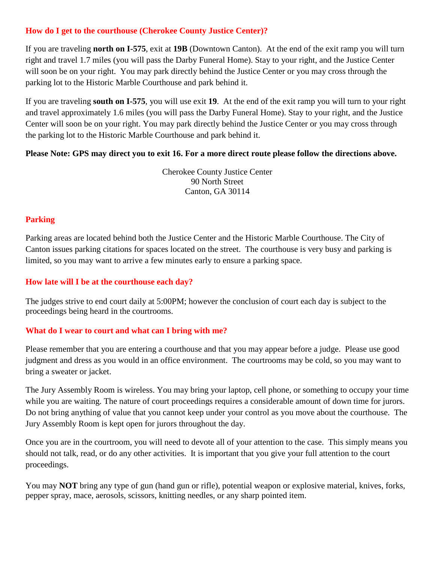# **How do I get to the courthouse (Cherokee County Justice Center)?**

If you are traveling **north on I-575**, exit at **19B** (Downtown Canton). At the end of the exit ramp you will turn right and travel 1.7 miles (you will pass the Darby Funeral Home). Stay to your right, and the Justice Center will soon be on your right. You may park directly behind the Justice Center or you may cross through the parking lot to the Historic Marble Courthouse and park behind it.

If you are traveling **south on I-575**, you will use exit **19**. At the end of the exit ramp you will turn to your right and travel approximately 1.6 miles (you will pass the Darby Funeral Home). Stay to your right, and the Justice Center will soon be on your right. You may park directly behind the Justice Center or you may cross through the parking lot to the Historic Marble Courthouse and park behind it.

## **Please Note: GPS may direct you to exit 16. For a more direct route please follow the directions above.**

Cherokee County Justice Center 90 North Street Canton, GA 30114

# **Parking**

Parking areas are located behind both the Justice Center and the Historic Marble Courthouse. The City of Canton issues parking citations for spaces located on the street. The courthouse is very busy and parking is limited, so you may want to arrive a few minutes early to ensure a parking space.

## **How late will I be at the courthouse each day?**

The judges strive to end court daily at 5:00PM; however the conclusion of court each day is subject to the proceedings being heard in the courtrooms.

## **What do I wear to court and what can I bring with me?**

Please remember that you are entering a courthouse and that you may appear before a judge. Please use good judgment and dress as you would in an office environment. The courtrooms may be cold, so you may want to bring a sweater or jacket.

The Jury Assembly Room is wireless. You may bring your laptop, cell phone, or something to occupy your time while you are waiting. The nature of court proceedings requires a considerable amount of down time for jurors. Do not bring anything of value that you cannot keep under your control as you move about the courthouse. The Jury Assembly Room is kept open for jurors throughout the day.

Once you are in the courtroom, you will need to devote all of your attention to the case. This simply means you should not talk, read, or do any other activities. It is important that you give your full attention to the court proceedings.

You may **NOT** bring any type of gun (hand gun or rifle), potential weapon or explosive material, knives, forks, pepper spray, mace, aerosols, scissors, knitting needles, or any sharp pointed item.